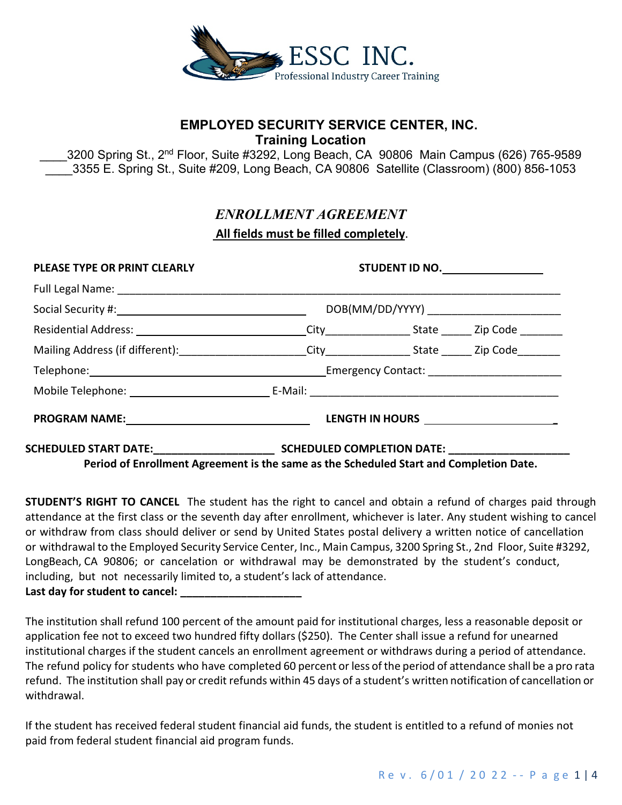

# **EMPLOYED SECURITY SERVICE CENTER, INC. Training Location**

3200 Spring St., 2<sup>nd</sup> Floor, Suite #3292, Long Beach, CA 90806 Main Campus (626) 765-9589 3355 E. Spring St., Suite #209, Long Beach, CA 90806 Satellite (Classroom) (800) 856-1053

# *ENROLLMENT AGREEMENT* **All fields must be filled completely**.

| <b>PLEASE TYPE OR PRINT CLEARLY</b> | STUDENT ID NO.                            |  |  |  |
|-------------------------------------|-------------------------------------------|--|--|--|
|                                     |                                           |  |  |  |
|                                     | DOB(MM/DD/YYYY) _________________________ |  |  |  |
|                                     |                                           |  |  |  |
|                                     |                                           |  |  |  |
|                                     |                                           |  |  |  |
|                                     |                                           |  |  |  |
|                                     |                                           |  |  |  |
|                                     |                                           |  |  |  |

**Period of Enrollment Agreement is the same as the Scheduled Start and Completion Date.**

**STUDENT'S RIGHT TO CANCEL** The student has the right to cancel and obtain a refund of charges paid through attendance at the first class or the seventh day after enrollment, whichever is later. Any student wishing to cancel or withdraw from class should deliver or send by United States postal delivery a written notice of cancellation or withdrawal to the Employed Security Service Center, Inc., Main Campus, 3200 Spring St., 2nd Floor, Suite #3292, LongBeach, CA 90806; or cancelation or withdrawal may be demonstrated by the student's conduct, including, but not necessarily limited to, a student's lack of attendance. Last day for student to cancel:

The institution shall refund 100 percent of the amount paid for institutional charges, less a reasonable deposit or application fee not to exceed two hundred fifty dollars(\$250). The Center shall issue a refund for unearned institutional charges if the student cancels an enrollment agreement or withdraws during a period of attendance. The refund policy for students who have completed 60 percent or less of the period of attendance shall be a pro rata refund. The institution shall pay or credit refunds within 45 days of a student's written notification of cancellation or withdrawal.

If the student has received federal student financial aid funds, the student is entitled to a refund of monies not paid from federal student financial aid program funds.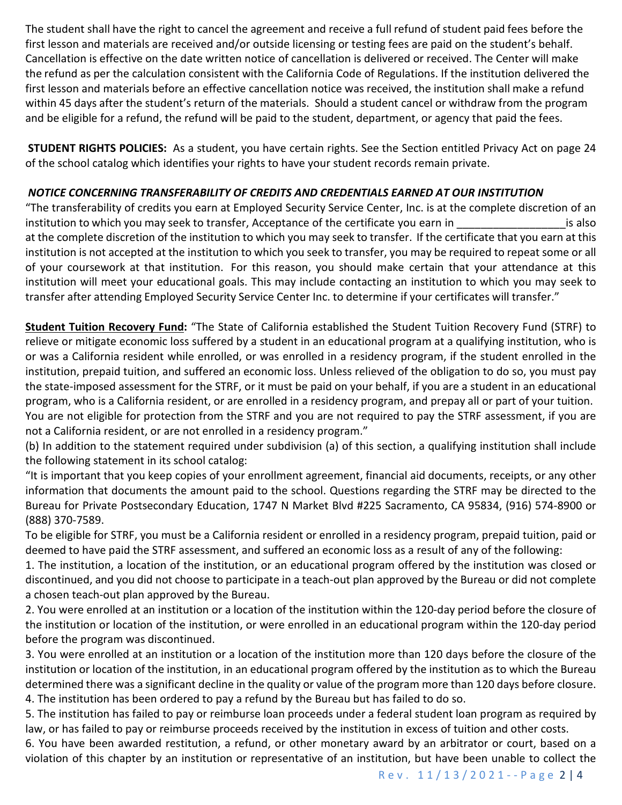The student shall have the right to cancel the agreement and receive a full refund of student paid fees before the first lesson and materials are received and/or outside licensing or testing fees are paid on the student's behalf. Cancellation is effective on the date written notice of cancellation is delivered or received. The Center will make the refund as per the calculation consistent with the California Code of Regulations. If the institution delivered the first lesson and materials before an effective cancellation notice was received, the institution shall make a refund within 45 days after the student's return of the materials. Should a student cancel or withdraw from the program and be eligible for a refund, the refund will be paid to the student, department, or agency that paid the fees.

**STUDENT RIGHTS POLICIES:** As a student, you have certain rights. See the Section entitled Privacy Act on page 24 of the school catalog which identifies your rights to have your student records remain private.

## *NOTICE CONCERNING TRANSFERABILITY OF CREDITS AND CREDENTIALS EARNED AT OUR INSTITUTION*

"The transferability of credits you earn at Employed Security Service Center, Inc. is at the complete discretion of an institution to which you may seek to transfer, Acceptance of the certificate you earn in \_\_\_\_\_\_\_\_\_\_\_\_\_\_\_\_\_\_\_\_\_\_\_is also at the complete discretion of the institution to which you may seek to transfer. If the certificate that you earn at this institution is not accepted at the institution to which you seek to transfer, you may be required to repeat some or all of your coursework at that institution. For this reason, you should make certain that your attendance at this institution will meet your educational goals. This may include contacting an institution to which you may seek to transfer after attending Employed Security Service Center Inc. to determine if your certificates will transfer."

**Student Tuition Recovery Fund:** "The State of California established the Student Tuition Recovery Fund (STRF) to relieve or mitigate economic loss suffered by a student in an educational program at a qualifying institution, who is or was a California resident while enrolled, or was enrolled in a residency program, if the student enrolled in the institution, prepaid tuition, and suffered an economic loss. Unless relieved of the obligation to do so, you must pay the state-imposed assessment for the STRF, or it must be paid on your behalf, if you are a student in an educational program, who is a California resident, or are enrolled in a residency program, and prepay all or part of your tuition. You are not eligible for protection from the STRF and you are not required to pay the STRF assessment, if you are not a California resident, or are not enrolled in a residency program."

(b) In addition to the statement required under subdivision (a) of this section, a qualifying institution shall include the following statement in its school catalog:

"It is important that you keep copies of your enrollment agreement, financial aid documents, receipts, or any other information that documents the amount paid to the school. Questions regarding the STRF may be directed to the Bureau for Private Postsecondary Education, 1747 N Market Blvd #225 Sacramento, CA 95834, (916) 574-8900 or (888) 370-7589.

To be eligible for STRF, you must be a California resident or enrolled in a residency program, prepaid tuition, paid or deemed to have paid the STRF assessment, and suffered an economic loss as a result of any of the following:

1. The institution, a location of the institution, or an educational program offered by the institution was closed or discontinued, and you did not choose to participate in a teach-out plan approved by the Bureau or did not complete a chosen teach-out plan approved by the Bureau.

2. You were enrolled at an institution or a location of the institution within the 120-day period before the closure of the institution or location of the institution, or were enrolled in an educational program within the 120-day period before the program was discontinued.

3. You were enrolled at an institution or a location of the institution more than 120 days before the closure of the institution or location of the institution, in an educational program offered by the institution as to which the Bureau determined there was a significant decline in the quality or value of the program more than 120 days before closure. 4. The institution has been ordered to pay a refund by the Bureau but has failed to do so.

5. The institution has failed to pay or reimburse loan proceeds under a federal student loan program as required by law, or has failed to pay or reimburse proceeds received by the institution in excess of tuition and other costs.

6. You have been awarded restitution, a refund, or other monetary award by an arbitrator or court, based on a violation of this chapter by an institution or representative of an institution, but have been unable to collect the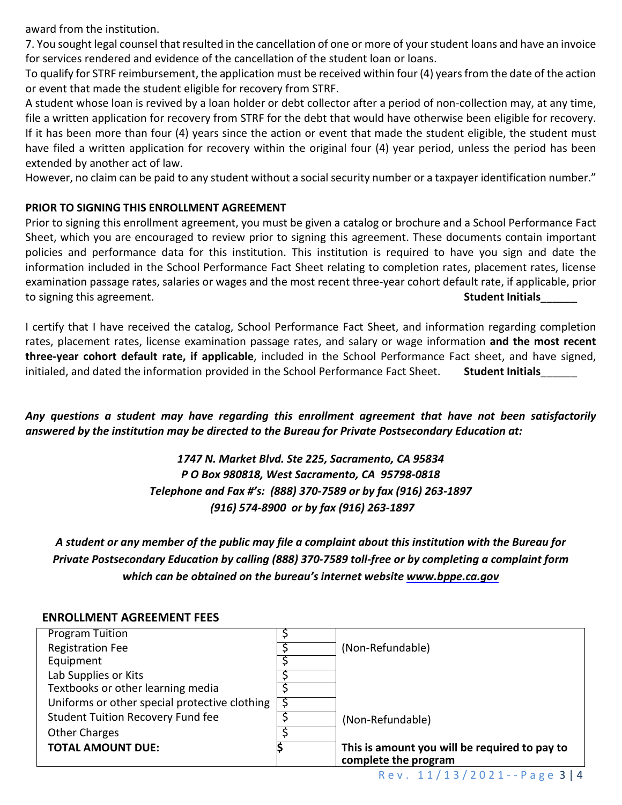award from the institution.

7. You sought legal counsel that resulted in the cancellation of one or more of your student loans and have an invoice for services rendered and evidence of the cancellation of the student loan or loans.

To qualify for STRF reimbursement, the application must be received within four (4) years from the date of the action or event that made the student eligible for recovery from STRF.

A student whose loan is revived by a loan holder or debt collector after a period of non-collection may, at any time, file a written application for recovery from STRF for the debt that would have otherwise been eligible for recovery. If it has been more than four (4) years since the action or event that made the student eligible, the student must have filed a written application for recovery within the original four (4) year period, unless the period has been extended by another act of law.

However, no claim can be paid to any student without a social security number or a taxpayer identification number."

### **PRIOR TO SIGNING THIS ENROLLMENT AGREEMENT**

Prior to signing this enrollment agreement, you must be given a catalog or brochure and a School Performance Fact Sheet, which you are encouraged to review prior to signing this agreement. These documents contain important policies and performance data for this institution. This institution is required to have you sign and date the information included in the School Performance Fact Sheet relating to completion rates, placement rates, license examination passage rates, salaries or wages and the most recent three-year cohort default rate, if applicable, prior to signing this agreement. **Student Initials**\_\_\_\_\_\_

I certify that I have received the catalog, School Performance Fact Sheet, and information regarding completion rates, placement rates, license examination passage rates, and salary or wage information **and the most recent three-year cohort default rate, if applicable**, included in the School Performance Fact sheet, and have signed, initialed, and dated the information provided in the School Performance Fact Sheet. **Student Initials** 

*Any questions a student may have regarding this enrollment agreement that have not been satisfactorily answered by the institution may be directed to the Bureau for Private Postsecondary Education at:*

> *1747 N. Market Blvd. Ste 225, Sacramento, CA 95834 P O Box 980818, West Sacramento, CA 95798-0818 Telephone and Fax #'s: (888) 370-7589 or by fax (916) 263-1897 (916) 574-8900 or by fax (916) 263-1897*

*A student or any member of the public may file a complaint about this institution with the Bureau for Private Postsecondary Education by calling (888) 370-7589 toll-free or by completing a complaint form which can be obtained on the bureau's internet website [www.bppe.ca.gov](http://www.bppe.ca.gov/)*

| <b>Program Tuition</b>                        |                                               |
|-----------------------------------------------|-----------------------------------------------|
| <b>Registration Fee</b>                       | (Non-Refundable)                              |
| Equipment                                     |                                               |
| Lab Supplies or Kits                          |                                               |
| Textbooks or other learning media             |                                               |
| Uniforms or other special protective clothing |                                               |
| <b>Student Tuition Recovery Fund fee</b>      | (Non-Refundable)                              |
| <b>Other Charges</b>                          |                                               |
| <b>TOTAL AMOUNT DUE:</b>                      | This is amount you will be required to pay to |
|                                               | complete the program                          |

#### **ENROLLMENT AGREEMENT FEES**